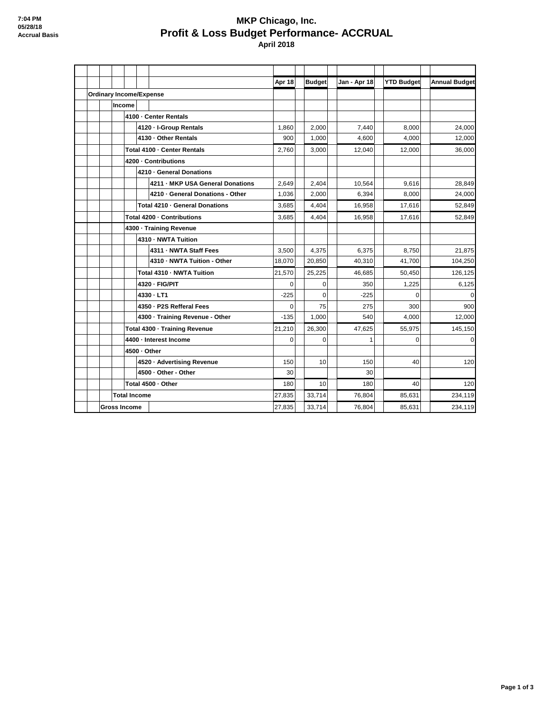## **MKP Chicago, Inc. Profit & Loss Budget Performance- ACCRUAL April 2018**

|                                |        |                               |                                  | Apr 18   | <b>Budget</b> | Jan - Apr 18 | <b>YTD Budget</b> | <b>Annual Budget</b> |
|--------------------------------|--------|-------------------------------|----------------------------------|----------|---------------|--------------|-------------------|----------------------|
| <b>Ordinary Income/Expense</b> |        |                               |                                  |          |               |              |                   |                      |
|                                | Income |                               |                                  |          |               |              |                   |                      |
|                                |        | 4100 - Center Rentals         |                                  |          |               |              |                   |                      |
|                                |        |                               | 4120 - I-Group Rentals           | 1,860    | 2,000         | 7,440        | 8,000             | 24,000               |
|                                |        |                               | 4130 - Other Rentals             | 900      | 1.000         | 4.600        | 4.000             | 12,000               |
|                                |        | Total 4100 - Center Rentals   |                                  | 2,760    | 3,000         | 12,040       | 12,000            | 36,000               |
|                                |        | 4200 - Contributions          |                                  |          |               |              |                   |                      |
|                                |        |                               | 4210 - General Donations         |          |               |              |                   |                      |
|                                |        |                               | 4211 - MKP USA General Donations | 2,649    | 2,404         | 10.564       | 9,616             | 28.849               |
|                                |        |                               | 4210 - General Donations - Other | 1,036    | 2,000         | 6,394        | 8,000             | 24,000               |
|                                |        |                               | Total 4210 - General Donations   | 3.685    | 4,404         | 16.958       | 17,616            | 52,849               |
|                                |        | Total 4200 - Contributions    |                                  | 3,685    | 4,404         | 16.958       | 17,616            | 52,849               |
|                                |        | 4300 · Training Revenue       |                                  |          |               |              |                   |                      |
|                                |        |                               | 4310 - NWTA Tuition              |          |               |              |                   |                      |
|                                |        |                               | 4311 - NWTA Staff Fees           | 3,500    | 4,375         | 6,375        | 8,750             | 21,875               |
|                                |        |                               | 4310 - NWTA Tuition - Other      | 18,070   | 20,850        | 40,310       | 41,700            | 104,250              |
|                                |        |                               | Total 4310 - NWTA Tuition        | 21,570   | 25,225        | 46.685       | 50,450            | 126,125              |
|                                |        |                               | 4320 - FIG/PIT                   | $\Omega$ | $\Omega$      | 350          | 1,225             | 6,125                |
|                                |        |                               | 4330 - LT1                       | $-225$   | $\Omega$      | $-225$       | $\Omega$          | $\overline{0}$       |
|                                |        |                               | 4350 - P2S Refferal Fees         | $\Omega$ | 75            | 275          | 300               | 900                  |
|                                |        |                               | 4300 - Training Revenue - Other  | $-135$   | 1.000         | 540          | 4.000             | 12.000               |
|                                |        | Total 4300 - Training Revenue |                                  | 21,210   | 26,300        | 47,625       | 55,975            | 145,150              |
|                                |        | 4400 - Interest Income        |                                  | $\Omega$ | $\Omega$      | $\mathbf{1}$ | $\Omega$          | $\overline{0}$       |
|                                |        | 4500 - Other                  |                                  |          |               |              |                   |                      |
|                                |        |                               | 4520 · Advertising Revenue       | 150      | 10            | 150          | 40                | 120                  |
|                                |        |                               | 4500 - Other - Other             | 30       |               | 30           |                   |                      |
|                                |        | Total 4500 - Other            |                                  | 180      | 10            | 180          | 40                | 120                  |
| <b>Total Income</b>            |        |                               | 27,835                           | 33,714   | 76,804        | 85,631       | 234,119           |                      |
| <b>Gross Income</b>            |        |                               | 27,835                           | 33,714   | 76,804        | 85,631       | 234,119           |                      |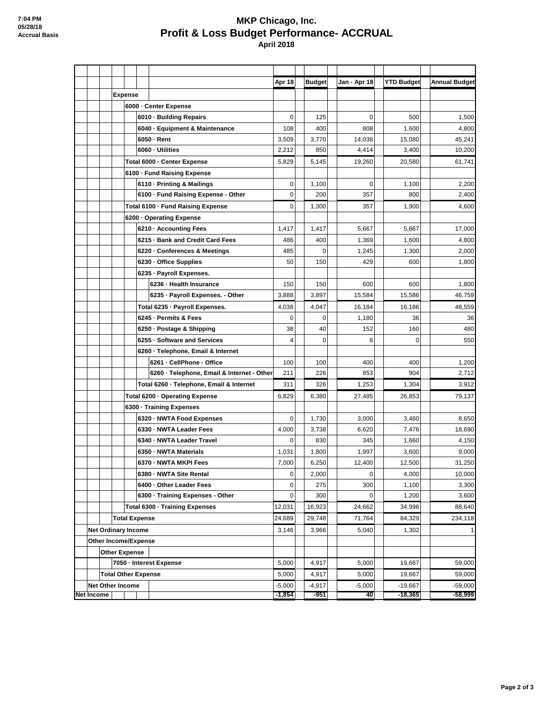## **MKP Chicago, Inc. Profit & Loss Budget Performance- ACCRUAL April 2018**

|                   |                  |                            |                                |          |                                                       | Apr 18         | <b>Budget</b> | Jan - Apr 18    | <b>YTD Budget</b> | <b>Annual Budget</b> |
|-------------------|------------------|----------------------------|--------------------------------|----------|-------------------------------------------------------|----------------|---------------|-----------------|-------------------|----------------------|
|                   |                  |                            | <b>Expense</b>                 |          |                                                       |                |               |                 |                   |                      |
|                   |                  |                            |                                |          | 6000 - Center Expense                                 |                |               |                 |                   |                      |
|                   |                  |                            |                                |          | 6010 - Building Repairs                               | $\mathbf 0$    | 125           | 0               | 500               | 1,500                |
|                   |                  |                            |                                |          | 6040 · Equipment & Maintenance                        | 108            | 400           | 808             | 1,600             | 4,800                |
|                   |                  |                            |                                |          | 6050 Rent<br>6060 - Utilities                         | 3,509<br>2,212 | 3,770<br>850  | 14,038<br>4,414 | 15,080<br>3,400   | 45,241<br>10,200     |
|                   |                  |                            |                                |          | Total 6000 - Center Expense                           | 5,829          | 5,145         | 19,260          | 20,580            | 61,741               |
|                   |                  |                            | 6100 - Fund Raising Expense    |          |                                                       |                |               |                 |                   |                      |
|                   |                  |                            |                                |          | 6110 - Printing & Mailings                            | 0              | 1,100         | 0               | 1,100             | 2.200                |
|                   |                  |                            |                                |          | 6100 · Fund Raising Expense - Other                   | 0              | 200           | 357             | 800               | 2,400                |
|                   |                  |                            |                                |          | Total 6100 - Fund Raising Expense                     | 0              | 1,300         | 357             | 1,900             | 4,600                |
|                   |                  |                            |                                |          | 6200 Operating Expense                                |                |               |                 |                   |                      |
|                   |                  |                            |                                |          | 6210 - Accounting Fees                                | 1,417          | 1,417         | 5,667           | 5,667             | 17,000               |
|                   |                  |                            |                                |          | 6215 · Bank and Credit Card Fees                      | 486            | 400           | 1,369           | 1,600             | 4,800                |
|                   |                  |                            |                                |          | 6220 - Conferences & Meetings                         | 485            | $\Omega$      | 1,245           | 1,300             | 2,000                |
|                   |                  |                            |                                |          | 6230 - Office Supplies                                | 50             | 150           | 429             | 600               | 1,800                |
|                   |                  |                            |                                |          | 6235 - Payroll Expenses.                              |                |               |                 |                   |                      |
|                   |                  |                            |                                |          | 6236 - Health Insurance                               | 150            | 150           | 600             | 600               | 1,800                |
|                   |                  |                            |                                |          | 6235 - Payroll Expenses. - Other                      | 3,888          | 3,897         | 15,584          | 15,586            | 46,759               |
|                   |                  |                            |                                |          | Total 6235 - Payroll Expenses.                        | 4,038          | 4,047         | 16,184          | 16,186            | 48,559               |
|                   |                  |                            |                                |          | 6245 - Permits & Fees                                 | 0              | $\mathbf 0$   | 1,180           | 36                | 36                   |
|                   |                  |                            |                                |          | 6250 - Postage & Shipping                             | 38             | 40            | 152             | 160               | 480                  |
|                   |                  |                            |                                |          | 6255 - Software and Services                          | 4              | $\mathbf 0$   | 6               | 0                 | 550                  |
|                   |                  |                            |                                |          | 6260 - Telephone, Email & Internet                    |                |               |                 |                   |                      |
|                   |                  |                            |                                |          | 6261 - CellPhone - Office                             | 100            | 100           | 400             | 400               | 1,200                |
|                   |                  |                            |                                |          | 6260 - Telephone, Email & Internet - Other            | 211<br>311     | 226<br>326    | 853             | 904               | 2,712                |
|                   |                  |                            |                                |          | Total 6260 - Telephone, Email & Internet              |                |               | 1,253           | 1,304             | 3,912                |
|                   |                  |                            | Total 6200 - Operating Expense |          | 6,829                                                 | 6,380          | 27,485        | 26,853          | 79,137            |                      |
|                   |                  |                            |                                |          | 6300 - Training Expenses<br>6320 - NWTA Food Expenses | 0              | 1,730         | 3,000           | 3,460             | 8,650                |
|                   |                  |                            |                                |          | 6330 - NWTA Leader Fees                               | 4,000          | 3,738         | 6,620           | 7,476             | 18,690               |
|                   |                  |                            |                                |          | 6340 - NWTA Leader Travel                             | 0              | 830           | 345             | 1,660             | 4,150                |
|                   |                  |                            |                                |          | 6350 - NWTA Materials                                 | 1,031          | 1,800         | 1,997           | 3,600             | 9,000                |
|                   |                  |                            |                                |          | 6370 - NWTA MKPI Fees                                 | 7,000          | 6,250         | 12,400          | 12,500            | 31,250               |
|                   |                  |                            |                                |          | 6380 - NWTA Site Rental                               | 0              | 2,000         | 0               | 4,000             | 10,000               |
|                   |                  |                            |                                |          | 6400 - Other Leader Fees                              | 0              | 275           | 300             | 1,100             | 3,300                |
|                   |                  |                            |                                |          | 6300 - Training Expenses - Other                      | 0              | 300           | 0               | 1,200             | 3,600                |
|                   |                  |                            |                                |          | Total 6300 - Training Expenses                        | 12,031         | 16,923        | 24,662          | 34,996            | 88,640               |
|                   |                  |                            | <b>Total Expense</b>           |          |                                                       | 24,689         | 29,748        | 71,764          | 84,329            | 234,118              |
|                   |                  |                            | <b>Net Ordinary Income</b>     |          | 3,146                                                 | 3,966          | 5,040         | 1,302           | 1                 |                      |
|                   |                  | Other Income/Expense       |                                |          |                                                       |                |               |                 |                   |                      |
|                   |                  |                            | <b>Other Expense</b>           |          |                                                       |                |               |                 |                   |                      |
|                   |                  |                            |                                |          | 7050 - Interest Expense                               | 5,000          | 4,917         | 5,000           | 19,667            | 59,000               |
|                   |                  | <b>Total Other Expense</b> |                                |          | 5,000                                                 | 4,917          | 5,000         | 19,667          | 59,000            |                      |
|                   | Net Other Income |                            |                                | $-5,000$ | $-4,917$                                              | $-5,000$       | $-19,667$     | $-59,000$       |                   |                      |
| <b>Net Income</b> |                  |                            |                                |          |                                                       | $-1,854$       | -951          | 40              | $-18,365$         | $-58,999$            |